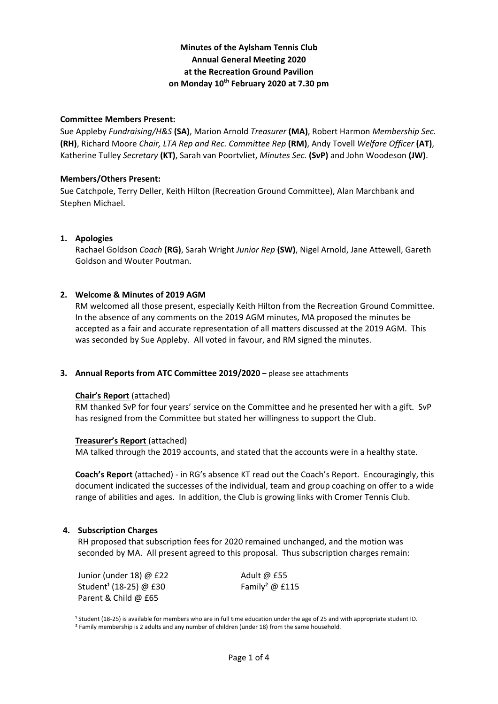# **Minutes of the Aylsham Tennis Club Annual General Meeting 2020 at the Recreation Ground Pavilion on Monday 10th February 2020 at 7.30 pm**

### **Committee Members Present:**

Sue Appleby *Fundraising/H&S* **(SA)**, Marion Arnold *Treasurer* **(MA)**, Robert Harmon *Membership Sec.* **(RH)**, Richard Moore *Chair, LTA Rep and Rec. Committee Rep* **(RM)**, Andy Tovell *Welfare Officer* **(AT)**, Katherine Tulley *Secretary* **(KT)**, Sarah van Poortvliet, *Minutes Sec.* **(SvP)** and John Woodeson **(JW)**.

# **Members/Others Present:**

Sue Catchpole, Terry Deller, Keith Hilton (Recreation Ground Committee), Alan Marchbank and Stephen Michael.

# **1. Apologies**

Rachael Goldson *Coach* **(RG)**, Sarah Wright *Junior Rep* **(SW)**, Nigel Arnold, Jane Attewell, Gareth Goldson and Wouter Poutman.

# **2. Welcome & Minutes of 2019 AGM**

RM welcomed all those present, especially Keith Hilton from the Recreation Ground Committee. In the absence of any comments on the 2019 AGM minutes, MA proposed the minutes be accepted as a fair and accurate representation of all matters discussed at the 2019 AGM. This was seconded by Sue Appleby. All voted in favour, and RM signed the minutes.

# **3. Annual Reports from ATC Committee 2019/2020 –** please see attachments

#### **Chair's Report** (attached)

RM thanked SvP for four years' service on the Committee and he presented her with a gift. SvP has resigned from the Committee but stated her willingness to support the Club.

#### **Treasurer's Report** (attached)

MA talked through the 2019 accounts, and stated that the accounts were in a healthy state.

**Coach's Report** (attached) - in RG's absence KT read out the Coach's Report. Encouragingly, this document indicated the successes of the individual, team and group coaching on offer to a wide range of abilities and ages. In addition, the Club is growing links with Cromer Tennis Club.

#### **4. Subscription Charges**

RH proposed that subscription fees for 2020 remained unchanged, and the motion was seconded by MA. All present agreed to this proposal. Thus subscription charges remain:

Junior (under 18) @ £22 Adult @ £55 Student<sup>1</sup> (18-25) @ £30 Family<sup>2</sup> @ £115 Parent & Child @ £65

<sup>1</sup> Student (18-25) is available for members who are in full time education under the age of 25 and with appropriate student ID. <sup>2</sup> Family membership is 2 adults and any number of children (under 18) from the same household.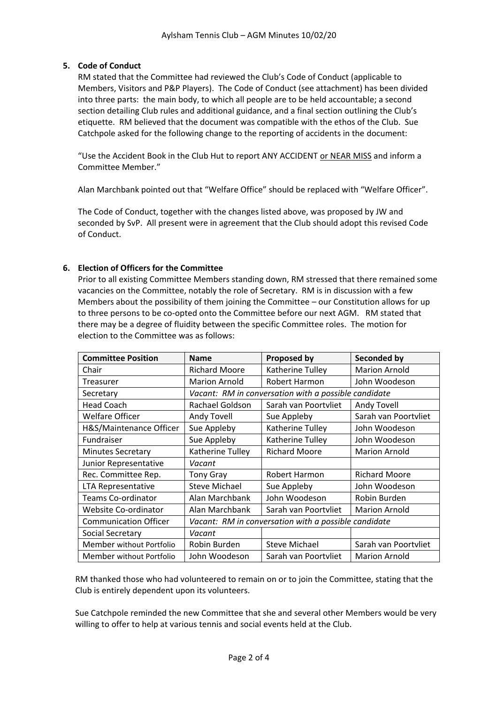# **5. Code of Conduct**

RM stated that the Committee had reviewed the Club's Code of Conduct (applicable to Members, Visitors and P&P Players). The Code of Conduct (see attachment) has been divided into three parts: the main body, to which all people are to be held accountable; a second section detailing Club rules and additional guidance, and a final section outlining the Club's etiquette. RM believed that the document was compatible with the ethos of the Club. Sue Catchpole asked for the following change to the reporting of accidents in the document:

"Use the Accident Book in the Club Hut to report ANY ACCIDENT or NEAR MISS and inform a Committee Member."

Alan Marchbank pointed out that "Welfare Office" should be replaced with "Welfare Officer".

The Code of Conduct, together with the changes listed above, was proposed by JW and seconded by SvP. All present were in agreement that the Club should adopt this revised Code of Conduct.

# **6. Election of Officers for the Committee**

Prior to all existing Committee Members standing down, RM stressed that there remained some vacancies on the Committee, notably the role of Secretary. RM is in discussion with a few Members about the possibility of them joining the Committee – our Constitution allows for up to three persons to be co-opted onto the Committee before our next AGM. RM stated that there may be a degree of fluidity between the specific Committee roles. The motion for election to the Committee was as follows:

| <b>Committee Position</b>    | <b>Name</b>                                          | <b>Proposed by</b>   | Seconded by          |
|------------------------------|------------------------------------------------------|----------------------|----------------------|
| Chair                        | <b>Richard Moore</b>                                 | Katherine Tulley     | <b>Marion Arnold</b> |
| Treasurer                    | <b>Marion Arnold</b>                                 | Robert Harmon        | John Woodeson        |
| Secretary                    | Vacant: RM in conversation with a possible candidate |                      |                      |
| <b>Head Coach</b>            | Rachael Goldson                                      | Sarah van Poortvliet | Andy Tovell          |
| Welfare Officer              | <b>Andy Tovell</b>                                   | Sue Appleby          | Sarah van Poortvliet |
| H&S/Maintenance Officer      | Sue Appleby                                          | Katherine Tulley     | John Woodeson        |
| <b>Fundraiser</b>            | Sue Appleby                                          | Katherine Tulley     | John Woodeson        |
| <b>Minutes Secretary</b>     | Katherine Tulley                                     | <b>Richard Moore</b> | <b>Marion Arnold</b> |
| Junior Representative        | Vacant                                               |                      |                      |
| Rec. Committee Rep.          | <b>Tony Gray</b>                                     | Robert Harmon        | <b>Richard Moore</b> |
| LTA Representative           | <b>Steve Michael</b>                                 | Sue Appleby          | John Woodeson        |
| <b>Teams Co-ordinator</b>    | Alan Marchbank                                       | John Woodeson        | Robin Burden         |
| Website Co-ordinator         | Alan Marchbank                                       | Sarah van Poortyliet | <b>Marion Arnold</b> |
| <b>Communication Officer</b> | Vacant: RM in conversation with a possible candidate |                      |                      |
| Social Secretary             | Vacant                                               |                      |                      |
| Member without Portfolio     | Robin Burden                                         | <b>Steve Michael</b> | Sarah van Poortvliet |
| Member without Portfolio     | John Woodeson                                        | Sarah van Poortvliet | <b>Marion Arnold</b> |

RM thanked those who had volunteered to remain on or to join the Committee, stating that the Club is entirely dependent upon its volunteers.

Sue Catchpole reminded the new Committee that she and several other Members would be very willing to offer to help at various tennis and social events held at the Club.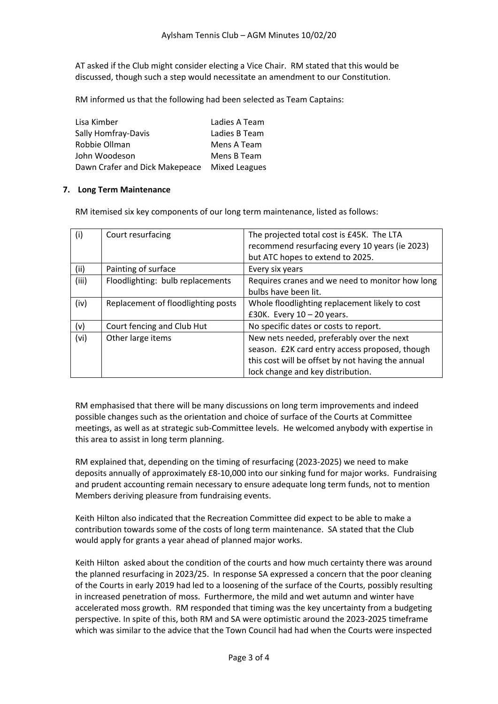AT asked if the Club might consider electing a Vice Chair. RM stated that this would be discussed, though such a step would necessitate an amendment to our Constitution.

RM informed us that the following had been selected as Team Captains:

| Lisa Kimber                    | Ladies A Team        |
|--------------------------------|----------------------|
| Sally Homfray-Davis            | Ladies B Team        |
| Robbie Ollman                  | Mens A Team          |
| John Woodeson                  | Mens B Team          |
| Dawn Crafer and Dick Makepeace | <b>Mixed Leagues</b> |

# **7. Long Term Maintenance**

RM itemised six key components of our long term maintenance, listed as follows:

| (i)   | Court resurfacing                  | The projected total cost is £45K. The LTA<br>recommend resurfacing every 10 years (ie 2023)<br>but ATC hopes to extend to 2025.                                                       |
|-------|------------------------------------|---------------------------------------------------------------------------------------------------------------------------------------------------------------------------------------|
| (ii)  | Painting of surface                | Every six years                                                                                                                                                                       |
| (iii) | Floodlighting: bulb replacements   | Requires cranes and we need to monitor how long<br>bulbs have been lit.                                                                                                               |
| (iv)  | Replacement of floodlighting posts | Whole floodlighting replacement likely to cost<br>£30K. Every $10 - 20$ years.                                                                                                        |
| (v)   | Court fencing and Club Hut         | No specific dates or costs to report.                                                                                                                                                 |
| (vi)  | Other large items                  | New nets needed, preferably over the next<br>season. £2K card entry access proposed, though<br>this cost will be offset by not having the annual<br>lock change and key distribution. |

RM emphasised that there will be many discussions on long term improvements and indeed possible changes such as the orientation and choice of surface of the Courts at Committee meetings, as well as at strategic sub-Committee levels. He welcomed anybody with expertise in this area to assist in long term planning.

RM explained that, depending on the timing of resurfacing (2023-2025) we need to make deposits annually of approximately £8-10,000 into our sinking fund for major works. Fundraising and prudent accounting remain necessary to ensure adequate long term funds, not to mention Members deriving pleasure from fundraising events.

Keith Hilton also indicated that the Recreation Committee did expect to be able to make a contribution towards some of the costs of long term maintenance. SA stated that the Club would apply for grants a year ahead of planned major works.

Keith Hilton asked about the condition of the courts and how much certainty there was around the planned resurfacing in 2023/25. In response SA expressed a concern that the poor cleaning of the Courts in early 2019 had led to a loosening of the surface of the Courts, possibly resulting in increased penetration of moss. Furthermore, the mild and wet autumn and winter have accelerated moss growth. RM responded that timing was the key uncertainty from a budgeting perspective. In spite of this, both RM and SA were optimistic around the 2023-2025 timeframe which was similar to the advice that the Town Council had had when the Courts were inspected